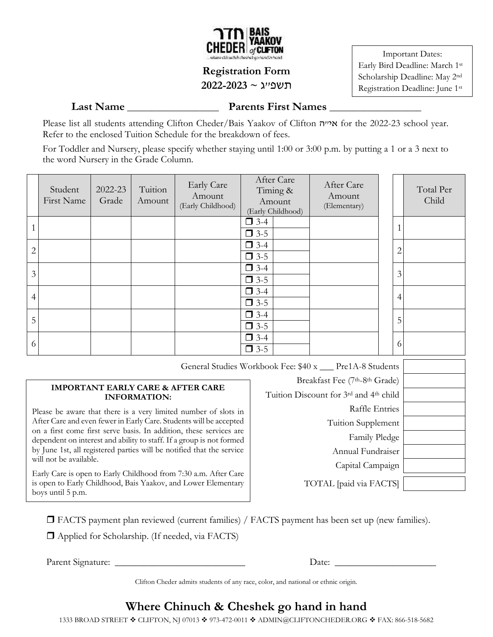

# **Registration Form**

#### תשפ"ג **~ 2022-2023**

Important Dates: Early Bird Deadline: March 1st Scholarship Deadline: May 2nd Registration Deadline: June 1st

**Last Name Parents First Names Parents First Names** 

Please list all students attending Clifton Cheder/Bais Yaakov of Clifton האייה for the 2022-23 school year. Refer to the enclosed Tuition Schedule for the breakdown of fees.

For Toddler and Nursery, please specify whether staying until 1:00 or 3:00 p.m. by putting a 1 or a 3 next to the word Nursery in the Grade Column.

|                | Student<br>First Name | 2022-23<br>Grade | Tuition<br>Amount | <b>Early Care</b><br>Amount<br>(Early Childhood) | After Care<br>Timing &<br>Amount<br>(Early Childhood) | After Care<br>Amount<br>(Elementary) |                | Total Per<br>Child |
|----------------|-----------------------|------------------|-------------------|--------------------------------------------------|-------------------------------------------------------|--------------------------------------|----------------|--------------------|
|                |                       |                  |                   |                                                  | $\Box$ 3-4<br>$\Box$ 3-5                              |                                      | 1              |                    |
| $\overline{2}$ |                       |                  |                   |                                                  | $\Box$ 3-4<br>$\Box$ 3-5                              |                                      | $\mathbf{2}$   |                    |
| 3              |                       |                  |                   |                                                  | $\Box$ 3-4<br>$\Box$ 3-5                              |                                      | 3              |                    |
| 4              |                       |                  |                   |                                                  | $\Box$ 3-4<br>$\Box$ 3-5                              |                                      | $\overline{4}$ |                    |
| 5              |                       |                  |                   |                                                  | $\Box$ 3-4<br>$\Box$ 3-5                              |                                      | 5              |                    |
| 6              |                       |                  |                   |                                                  | $\Box$ 3-4<br>$\Box$ 3-5                              |                                      | 6              |                    |

General Studies Workbook Fee: \$40 x \_\_\_ Pre1A-8 Students

#### **IMPORTANT EARLY CARE & AFTER CARE INFORMATION:**

Please be aware that there is a very limited number of slots in After Care and even fewer in Early Care. Students will be accepted on a first come first serve basis. In addition, these services are dependent on interest and ability to staff. If a group is not formed by June 1st, all registered parties will be notified that the service will not be available.

Early Care is open to Early Childhood from 7:30 a.m. After Care is open to Early Childhood, Bais Yaakov, and Lower Elementary boys until 5 p.m.

Breakfast Fee (7th-8th Grade) Tuition Discount for 3rd and 4th child Raffle Entries Tuition Supplement Family Pledge Annual Fundraiser Capital Campaign

TOTAL [paid via FACTS]

□ FACTS payment plan reviewed (current families) / FACTS payment has been set up (new families).

 $\Box$  Applied for Scholarship. (If needed, via FACTS)

Parent Signature: \_\_\_\_\_\_\_\_\_\_\_\_\_\_\_\_\_\_\_\_\_\_\_\_\_\_\_ Date: \_\_\_\_\_\_\_\_\_\_\_\_\_\_\_\_\_\_\_\_\_

Clifton Cheder admits students of any race, color, and national or ethnic origin.

# **Where Chinuch & Cheshek go hand in hand**

1333 BROAD STREET ❖ CLIFTON, NJ 07013 ❖ 973-472-0011 ❖ [ADMIN@CLIFTONCHEDER.ORG](mailto:ADMIN@CLIFTONCHEDER.ORG) ❖ FAX: 866-518-5682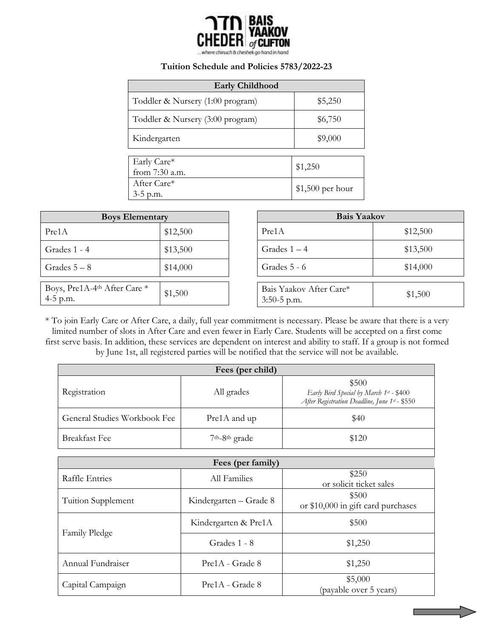

#### **Tuition Schedule and Policies 5783/2022-23**

| <b>Early Childhood</b>           |                   |  |  |  |  |  |
|----------------------------------|-------------------|--|--|--|--|--|
| Toddler & Nursery (1:00 program) | \$5,250           |  |  |  |  |  |
| Toddler & Nursery (3:00 program) | \$6,750           |  |  |  |  |  |
| Kindergarten                     | \$9,000           |  |  |  |  |  |
|                                  |                   |  |  |  |  |  |
| Early Care*<br>from 7:30 a.m.    | \$1,250           |  |  |  |  |  |
| After Care*                      | $$1,500$ per hour |  |  |  |  |  |
| $3-5$ p.m.                       |                   |  |  |  |  |  |

| <b>Boys Elementary</b>                                 |          |       | <b>Bais Yaakov</b>                       |          |  |
|--------------------------------------------------------|----------|-------|------------------------------------------|----------|--|
| Pre1A                                                  | \$12,500 | Pre1A |                                          | \$12,500 |  |
| Grades 1 - 4                                           | \$13,500 |       | Grades $1 - 4$                           | \$13,500 |  |
| Grades $5-8$                                           | \$14,000 |       | Grades 5 - 6                             | \$14,000 |  |
| Boys, Pre1A-4 <sup>th</sup> After Care *<br>$4-5$ p.m. | \$1,500  |       | Bais Yaakov After Care*<br>$3:50-5$ p.m. | \$1,500  |  |

\* To join Early Care or After Care, a daily, full year commitment is necessary. Please be aware that there is a very limited number of slots in After Care and even fewer in Early Care. Students will be accepted on a first come first serve basis. In addition, these services are dependent on interest and ability to staff. If a group is not formed by June 1st, all registered parties will be notified that the service will not be available.

| Fees (per child)             |                        |                                                                                                   |  |  |  |  |  |
|------------------------------|------------------------|---------------------------------------------------------------------------------------------------|--|--|--|--|--|
| Registration                 | All grades             | \$500<br>Early Bird Special by March 1st - \$400<br>After Registration Deadline, June 1st - \$550 |  |  |  |  |  |
| General Studies Workbook Fee | Pre1A and up           | \$40                                                                                              |  |  |  |  |  |
| <b>Breakfast Fee</b>         | $7th - 8th$ grade      | \$120                                                                                             |  |  |  |  |  |
|                              |                        |                                                                                                   |  |  |  |  |  |
| Fees (per family)            |                        |                                                                                                   |  |  |  |  |  |
| Raffle Entries               | All Families           | \$250<br>or solicit ticket sales                                                                  |  |  |  |  |  |
| Tuition Supplement           | Kindergarten – Grade 8 | \$500<br>or \$10,000 in gift card purchases                                                       |  |  |  |  |  |
|                              | Kindergarten & Pre1A   | \$500                                                                                             |  |  |  |  |  |
| Family Pledge                | Grades 1 - 8           | \$1,250                                                                                           |  |  |  |  |  |
| Annual Fundraiser            | Pre1A - Grade 8        | \$1,250                                                                                           |  |  |  |  |  |
| Capital Campaign             | Pre1A - Grade 8        | \$5,000<br>(payable over 5 years)                                                                 |  |  |  |  |  |